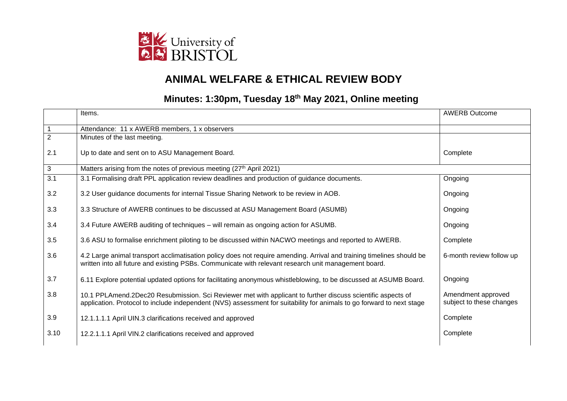

## **ANIMAL WELFARE & ETHICAL REVIEW BODY**

## **Minutes: 1:30pm, Tuesday 18th May 2021, Online meeting**

|                | Items.                                                                                                                                                                                                                               | <b>AWERB Outcome</b>                           |
|----------------|--------------------------------------------------------------------------------------------------------------------------------------------------------------------------------------------------------------------------------------|------------------------------------------------|
|                | Attendance: 11 x AWERB members, 1 x observers                                                                                                                                                                                        |                                                |
| $\overline{2}$ | Minutes of the last meeting.                                                                                                                                                                                                         |                                                |
| 2.1            | Up to date and sent on to ASU Management Board.                                                                                                                                                                                      | Complete                                       |
| 3              | Matters arising from the notes of previous meeting (27th April 2021)                                                                                                                                                                 |                                                |
| 3.1            | 3.1 Formalising draft PPL application review deadlines and production of guidance documents.                                                                                                                                         | Ongoing                                        |
| 3.2            | 3.2 User guidance documents for internal Tissue Sharing Network to be review in AOB.                                                                                                                                                 | Ongoing                                        |
| 3.3            | 3.3 Structure of AWERB continues to be discussed at ASU Management Board (ASUMB)                                                                                                                                                     | Ongoing                                        |
| 3.4            | 3.4 Future AWERB auditing of techniques – will remain as ongoing action for ASUMB.                                                                                                                                                   | Ongoing                                        |
| 3.5            | 3.6 ASU to formalise enrichment piloting to be discussed within NACWO meetings and reported to AWERB.                                                                                                                                | Complete                                       |
| 3.6            | 4.2 Large animal transport acclimatisation policy does not require amending. Arrival and training timelines should be<br>written into all future and existing PSBs. Communicate with relevant research unit management board.        | 6-month review follow up                       |
| 3.7            | 6.11 Explore potential updated options for facilitating anonymous whistleblowing, to be discussed at ASUMB Board.                                                                                                                    | Ongoing                                        |
| 3.8            | 10.1 PPLAmend.2Dec20 Resubmission. Sci Reviewer met with applicant to further discuss scientific aspects of<br>application. Protocol to include independent (NVS) assessment for suitability for animals to go forward to next stage | Amendment approved<br>subject to these changes |
| 3.9            | 12.1.1.1.1 April UIN.3 clarifications received and approved                                                                                                                                                                          | Complete                                       |
| 3.10           | 12.2.1.1.1 April VIN.2 clarifications received and approved                                                                                                                                                                          | Complete                                       |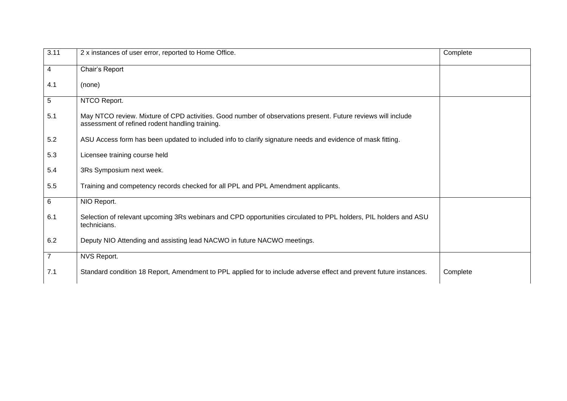| 3.11           | 2 x instances of user error, reported to Home Office.                                                                                                           | Complete |
|----------------|-----------------------------------------------------------------------------------------------------------------------------------------------------------------|----------|
| 4              | Chair's Report                                                                                                                                                  |          |
| 4.1            | (none)                                                                                                                                                          |          |
| 5              | NTCO Report.                                                                                                                                                    |          |
| 5.1            | May NTCO review. Mixture of CPD activities. Good number of observations present. Future reviews will include<br>assessment of refined rodent handling training. |          |
| 5.2            | ASU Access form has been updated to included info to clarify signature needs and evidence of mask fitting.                                                      |          |
| 5.3            | Licensee training course held                                                                                                                                   |          |
| 5.4            | 3Rs Symposium next week.                                                                                                                                        |          |
| 5.5            | Training and competency records checked for all PPL and PPL Amendment applicants.                                                                               |          |
| 6              | NIO Report.                                                                                                                                                     |          |
| 6.1            | Selection of relevant upcoming 3Rs webinars and CPD opportunities circulated to PPL holders, PIL holders and ASU<br>technicians.                                |          |
| 6.2            | Deputy NIO Attending and assisting lead NACWO in future NACWO meetings.                                                                                         |          |
| $\overline{7}$ | NVS Report.                                                                                                                                                     |          |
| 7.1            | Standard condition 18 Report, Amendment to PPL applied for to include adverse effect and prevent future instances.                                              | Complete |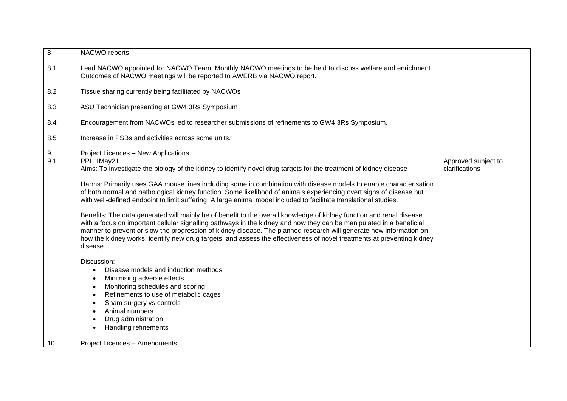| $\overline{8}$ | NACWO reports.                                                                                                                                                                                                                                                                                                                                                                                                                                                                                           |                     |
|----------------|----------------------------------------------------------------------------------------------------------------------------------------------------------------------------------------------------------------------------------------------------------------------------------------------------------------------------------------------------------------------------------------------------------------------------------------------------------------------------------------------------------|---------------------|
| 8.1            | Lead NACWO appointed for NACWO Team. Monthly NACWO meetings to be held to discuss welfare and enrichment.<br>Outcomes of NACWO meetings will be reported to AWERB via NACWO report.                                                                                                                                                                                                                                                                                                                      |                     |
| 8.2            | Tissue sharing currently being facilitated by NACWOs                                                                                                                                                                                                                                                                                                                                                                                                                                                     |                     |
| 8.3            | ASU Technician presenting at GW4 3Rs Symposium                                                                                                                                                                                                                                                                                                                                                                                                                                                           |                     |
| 8.4            | Encouragement from NACWOs led to researcher submissions of refinements to GW4 3Rs Symposium.                                                                                                                                                                                                                                                                                                                                                                                                             |                     |
| 8.5            | Increase in PSBs and activities across some units.                                                                                                                                                                                                                                                                                                                                                                                                                                                       |                     |
| 9              | Project Licences - New Applications.                                                                                                                                                                                                                                                                                                                                                                                                                                                                     |                     |
| 9.1            | PPL.1May21.                                                                                                                                                                                                                                                                                                                                                                                                                                                                                              | Approved subject to |
|                | Aims: To investigate the biology of the kidney to identify novel drug targets for the treatment of kidney disease                                                                                                                                                                                                                                                                                                                                                                                        | clarifications      |
|                | Harms: Primarily uses GAA mouse lines including some in combination with disease models to enable characterisation                                                                                                                                                                                                                                                                                                                                                                                       |                     |
|                | of both normal and pathological kidney function. Some likelihood of animals experiencing overt signs of disease but                                                                                                                                                                                                                                                                                                                                                                                      |                     |
|                | with well-defined endpoint to limit suffering. A large animal model included to facilitate translational studies.                                                                                                                                                                                                                                                                                                                                                                                        |                     |
|                | Benefits: The data generated will mainly be of benefit to the overall knowledge of kidney function and renal disease<br>with a focus on important cellular signalling pathways in the kidney and how they can be manipulated in a beneficial<br>manner to prevent or slow the progression of kidney disease. The planned research will generate new information on<br>how the kidney works, identify new drug targets, and assess the effectiveness of novel treatments at preventing kidney<br>disease. |                     |
|                | Discussion:                                                                                                                                                                                                                                                                                                                                                                                                                                                                                              |                     |
|                | Disease models and induction methods                                                                                                                                                                                                                                                                                                                                                                                                                                                                     |                     |
|                | Minimising adverse effects                                                                                                                                                                                                                                                                                                                                                                                                                                                                               |                     |
|                | Monitoring schedules and scoring                                                                                                                                                                                                                                                                                                                                                                                                                                                                         |                     |
|                | Refinements to use of metabolic cages                                                                                                                                                                                                                                                                                                                                                                                                                                                                    |                     |
|                | Sham surgery vs controls                                                                                                                                                                                                                                                                                                                                                                                                                                                                                 |                     |
|                | Animal numbers                                                                                                                                                                                                                                                                                                                                                                                                                                                                                           |                     |
|                | Drug administration                                                                                                                                                                                                                                                                                                                                                                                                                                                                                      |                     |
|                | <b>Handling refinements</b>                                                                                                                                                                                                                                                                                                                                                                                                                                                                              |                     |
| 10             | Project Licences - Amendments.                                                                                                                                                                                                                                                                                                                                                                                                                                                                           |                     |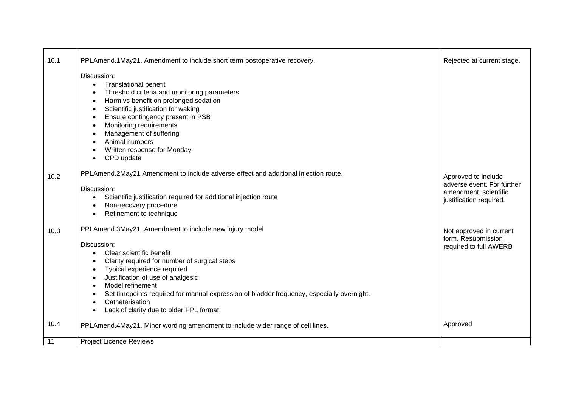| 10.1 | PPLAmend.1May21. Amendment to include short term postoperative recovery.                                                                                                                                                                                                                                                                                                                                           | Rejected at current stage.                                                                            |
|------|--------------------------------------------------------------------------------------------------------------------------------------------------------------------------------------------------------------------------------------------------------------------------------------------------------------------------------------------------------------------------------------------------------------------|-------------------------------------------------------------------------------------------------------|
|      | Discussion:<br><b>Translational benefit</b><br>Threshold criteria and monitoring parameters<br>Harm vs benefit on prolonged sedation<br>Scientific justification for waking<br>Ensure contingency present in PSB<br>$\bullet$<br>Monitoring requirements<br>Management of suffering<br>Animal numbers<br>Written response for Monday<br>CPD update<br>$\bullet$                                                    |                                                                                                       |
| 10.2 | PPLAmend.2May21 Amendment to include adverse effect and additional injection route.<br>Discussion:<br>Scientific justification required for additional injection route<br>Non-recovery procedure<br>Refinement to technique                                                                                                                                                                                        | Approved to include<br>adverse event. For further<br>amendment, scientific<br>justification required. |
| 10.3 | PPLAmend.3May21. Amendment to include new injury model<br>Discussion:<br>Clear scientific benefit<br>Clarity required for number of surgical steps<br>Typical experience required<br>$\bullet$<br>Justification of use of analgesic<br>Model refinement<br>Set timepoints required for manual expression of bladder frequency, especially overnight.<br>Catheterisation<br>Lack of clarity due to older PPL format | Not approved in current<br>form. Resubmission<br>required to full AWERB                               |
| 10.4 | PPLAmend.4May21. Minor wording amendment to include wider range of cell lines.                                                                                                                                                                                                                                                                                                                                     | Approved                                                                                              |
| 11   | <b>Project Licence Reviews</b>                                                                                                                                                                                                                                                                                                                                                                                     |                                                                                                       |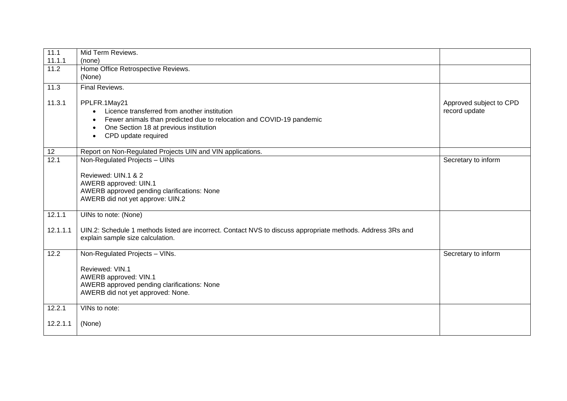| 11.1           | Mid Term Reviews.                                                                                           |                         |
|----------------|-------------------------------------------------------------------------------------------------------------|-------------------------|
| 11.1.1<br>11.2 | (none)<br>Home Office Retrospective Reviews.                                                                |                         |
|                | (None)                                                                                                      |                         |
| 11.3           | Final Reviews.                                                                                              |                         |
|                |                                                                                                             |                         |
| 11.3.1         | PPLFR.1May21                                                                                                | Approved subject to CPD |
|                | Licence transferred from another institution                                                                | record update           |
|                | Fewer animals than predicted due to relocation and COVID-19 pandemic<br>$\bullet$                           |                         |
|                | One Section 18 at previous institution<br>$\bullet$<br>CPD update required                                  |                         |
|                |                                                                                                             |                         |
| 12             | Report on Non-Regulated Projects UIN and VIN applications.                                                  |                         |
| 12.1           | Non-Regulated Projects - UINs                                                                               | Secretary to inform     |
|                |                                                                                                             |                         |
|                | Reviewed: UIN.1 & 2                                                                                         |                         |
|                | AWERB approved: UIN.1<br>AWERB approved pending clarifications: None                                        |                         |
|                | AWERB did not yet approve: UIN.2                                                                            |                         |
|                |                                                                                                             |                         |
| 12.1.1         | UINs to note: (None)                                                                                        |                         |
| 12.1.1.1       | UIN.2: Schedule 1 methods listed are incorrect. Contact NVS to discuss appropriate methods. Address 3Rs and |                         |
|                | explain sample size calculation.                                                                            |                         |
|                |                                                                                                             |                         |
| 12.2           | Non-Regulated Projects - VINs.                                                                              | Secretary to inform     |
|                | Reviewed: VIN.1                                                                                             |                         |
|                | AWERB approved: VIN.1                                                                                       |                         |
|                | AWERB approved pending clarifications: None                                                                 |                         |
|                | AWERB did not yet approved: None.                                                                           |                         |
|                |                                                                                                             |                         |
| 12.2.1         | VINs to note:                                                                                               |                         |
| 12.2.1.1       | (None)                                                                                                      |                         |
|                |                                                                                                             |                         |